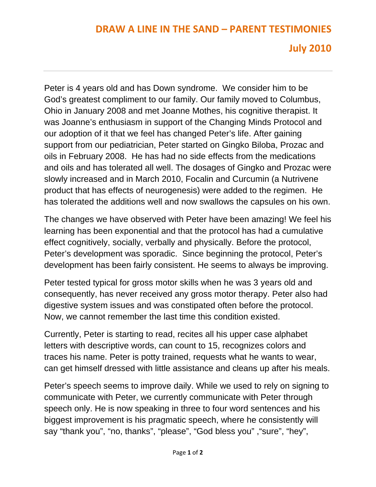## **DRAW A LINE IN THE SAND – PARENT TESTIMONIES**

## **July 2010**

Peter is 4 years old and has Down syndrome. We consider him to be God's greatest compliment to our family. Our family moved to Columbus, Ohio in January 2008 and met Joanne Mothes, his cognitive therapist. It was Joanne's enthusiasm in support of the Changing Minds Protocol and our adoption of it that we feel has changed Peter's life. After gaining support from our pediatrician, Peter started on Gingko Biloba, Prozac and oils in February 2008. He has had no side effects from the medications and oils and has tolerated all well. The dosages of Gingko and Prozac were slowly increased and in March 2010, Focalin and Curcumin (a Nutrivene product that has effects of neurogenesis) were added to the regimen. He has tolerated the additions well and now swallows the capsules on his own.

The changes we have observed with Peter have been amazing! We feel his learning has been exponential and that the protocol has had a cumulative effect cognitively, socially, verbally and physically. Before the protocol, Peter's development was sporadic. Since beginning the protocol, Peter's development has been fairly consistent. He seems to always be improving.

Peter tested typical for gross motor skills when he was 3 years old and consequently, has never received any gross motor therapy. Peter also had digestive system issues and was constipated often before the protocol. Now, we cannot remember the last time this condition existed.

Currently, Peter is starting to read, recites all his upper case alphabet letters with descriptive words, can count to 15, recognizes colors and traces his name. Peter is potty trained, requests what he wants to wear, can get himself dressed with little assistance and cleans up after his meals.

Peter's speech seems to improve daily. While we used to rely on signing to communicate with Peter, we currently communicate with Peter through speech only. He is now speaking in three to four word sentences and his biggest improvement is his pragmatic speech, where he consistently will say "thank you", "no, thanks", "please", "God bless you" ,"sure", "hey",